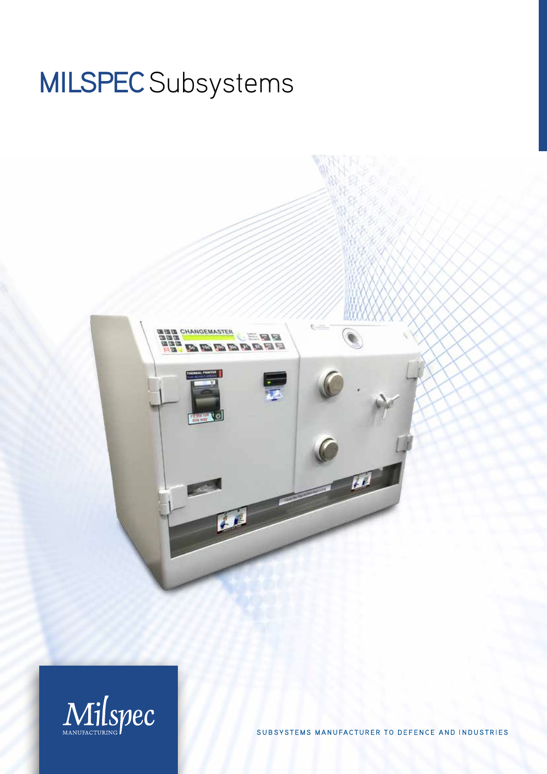# MILSPEC Subsystems





SUBSYSTEMS MANUFACTURER TO DEFENCE AND INDUSTRIES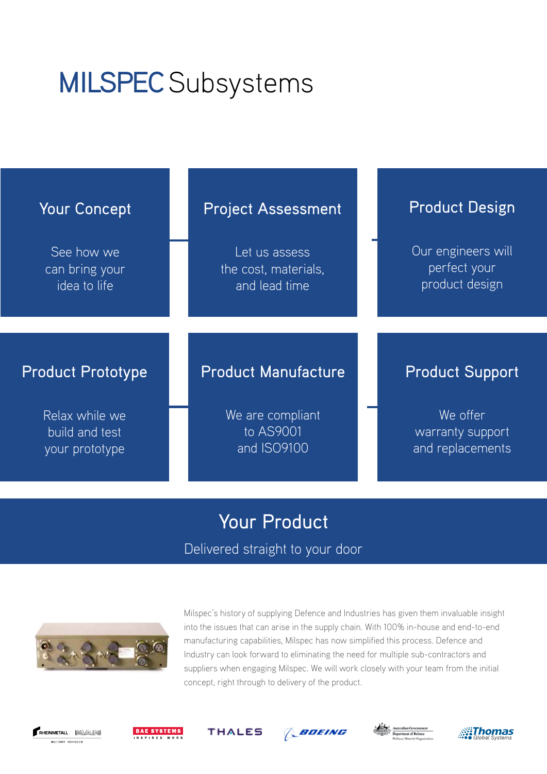## MILSPEC Subsystems





Milspec's history of supplying Defence and Industries has given them invaluable insight into the issues that can arise in the supply chain. With 100% in-house and end-to-end manufacturing capabilities, Milspec has now simplified this process. Defence and Industry can look forward to eliminating the need for multiple sub-contractors and suppliers when engaging Milspec. We will work closely with your team from the initial concept, right through to delivery of the product.











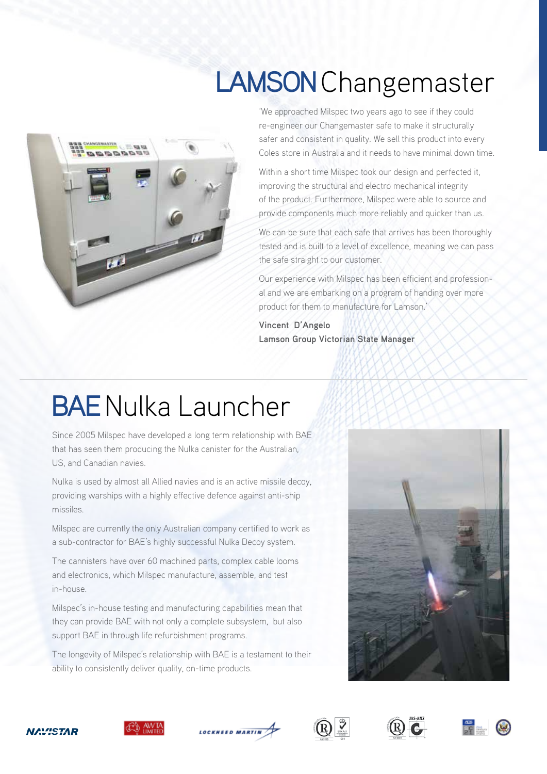### LAMSON Changemaster



'We approached Milspec two years ago to see if they could re-engineer our Changemaster safe to make it structurally safer and consistent in quality. We sell this product into every Coles store in Australia and it needs to have minimal down time.

Within a short time Milspec took our design and perfected it, improving the structural and electro mechanical integrity of the product. Furthermore, Milspec were able to source and provide components much more reliably and quicker than us.

We can be sure that each safe that arrives has been thoroughly tested and is built to a level of excellence, meaning we can pass the safe straight to our customer.

Our experience with Milspec has been efficient and professional and we are embarking on a program of handing over more product for them to manufacture for Lamson.'

**Vincent D'Angelo Lamson Group Victorian State Manager**

#### BAE Nulka Launcher

Since 2005 Milspec have developed a long term relationship with BAE that has seen them producing the Nulka canister for the Australian, US, and Canadian navies.

Nulka is used by almost all Allied navies and is an active missile decoy, providing warships with a highly effective defence against anti-ship missiles.

Milspec are currently the only Australian company certified to work as a sub-contractor for BAE's highly successful Nulka Decoy system.

The cannisters have over 60 machined parts, complex cable looms and electronics, which Milspec manufacture, assemble, and test in-house.

Milspec's in-house testing and manufacturing capabilities mean that they can provide BAE with not only a complete subsystem, but also support BAE in through life refurbishment programs.

The longevity of Milspec's relationship with BAE is a testament to their ability to consistently deliver quality, on-time products.